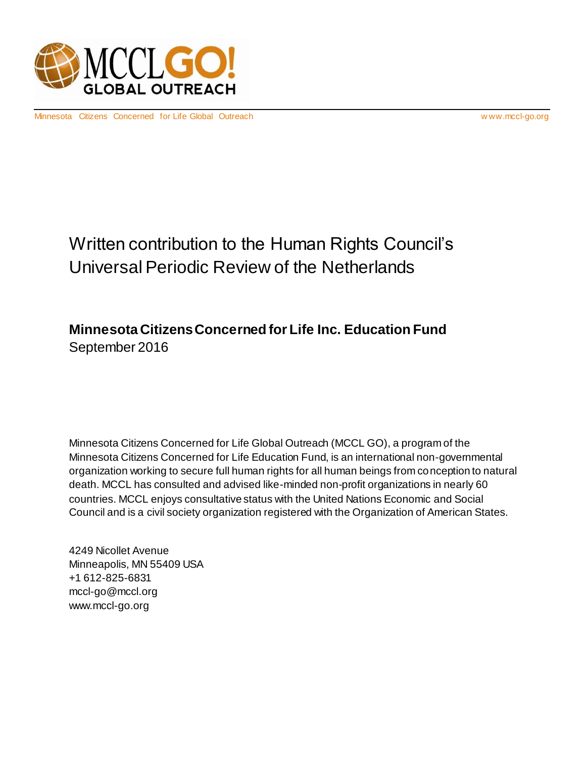

Minnesota Citizens Concerned for Life Global Outreach w ww.mccl-go.org

# Written contribution to the Human Rights Council's Universal Periodic Review of the Netherlands

### **Minnesota Citizens Concerned for Life Inc. Education Fund** September 2016

Minnesota Citizens Concerned for Life Global Outreach (MCCL GO), a program of the Minnesota Citizens Concerned for Life Education Fund, is an international non-governmental organization working to secure full human rights for all human beings from conception to natural death. MCCL has consulted and advised like-minded non-profit organizations in nearly 60 countries. MCCL enjoys consultative status with the United Nations Economic and Social Council and is a civil society organization registered with the Organization of American States.

4249 Nicollet Avenue Minneapolis, MN 55409 USA +1 612-825-6831 mccl-go@mccl.org www.mccl-go.org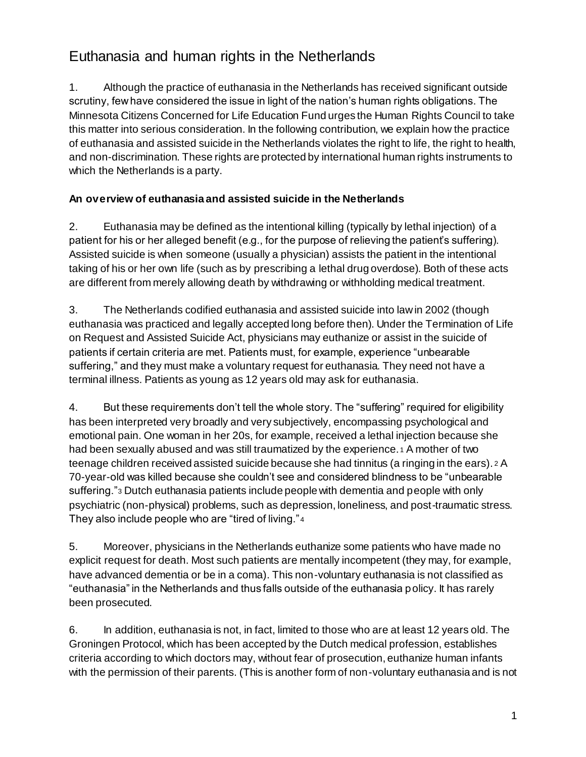## Euthanasia and human rights in the Netherlands

1. Although the practice of euthanasia in the Netherlands has received significant outside scrutiny, few have considered the issue in light of the nation's human rights obligations. The Minnesota Citizens Concerned for Life Education Fund urges the Human Rights Council to take this matter into serious consideration. In the following contribution, we explain how the practice of euthanasia and assisted suicide in the Netherlands violates the right to life, the right to health, and non-discrimination. These rights are protected by international human rights instruments to which the Netherlands is a party.

#### **An overview of euthanasia and assisted suicide in the Netherlands**

2. Euthanasia may be defined as the intentional killing (typically by lethal injection) of a patient for his or her alleged benefit (e.g., for the purpose of relieving the patient's suffering). Assisted suicide is when someone (usually a physician) assists the patient in the intentional taking of his or her own life (such as by prescribing a lethal drug overdose). Both of these acts are different from merely allowing death by withdrawing or withholding medical treatment.

3. The Netherlands codified euthanasia and assisted suicide into law in 2002 (though euthanasia was practiced and legally accepted long before then). Under the Termination of Life on Request and Assisted Suicide Act, physicians may euthanize or assist in the suicide of patients if certain criteria are met. Patients must, for example, experience "unbearable suffering," and they must make a voluntary request for euthanasia. They need not have a terminal illness. Patients as young as 12 years old may ask for euthanasia.

4. But these requirements don't tell the whole story. The "suffering" required for eligibility has been interpreted very broadly and very subjectively, encompassing psychological and emotional pain. One woman in her 20s, for example, received a lethal injection because she had been sexually abused and was still traumatized by the experience. <sup>1</sup> A mother of two teenage children received assisted suicide because she had tinnitus (a ringing in the ears). <sup>2</sup> A 70-year-old was killed because she couldn't see and considered blindness to be "unbearable suffering."<sup>3</sup> Dutch euthanasia patients include people with dementia and people with only psychiatric (non-physical) problems, such as depression, loneliness, and post-traumatic stress. They also include people who are "tired of living." <sup>4</sup>

5. Moreover, physicians in the Netherlands euthanize some patients who have made no explicit request for death. Most such patients are mentally incompetent (they may, for example, have advanced dementia or be in a coma). This non-voluntary euthanasia is not classified as "euthanasia" in the Netherlands and thus falls outside of the euthanasia policy. It has rarely been prosecuted.

6. In addition, euthanasia is not, in fact, limited to those who are at least 12 years old. The Groningen Protocol, which has been accepted by the Dutch medical profession, establishes criteria according to which doctors may, without fear of prosecution, euthanize human infants with the permission of their parents. (This is another form of non-voluntary euthanasia and is not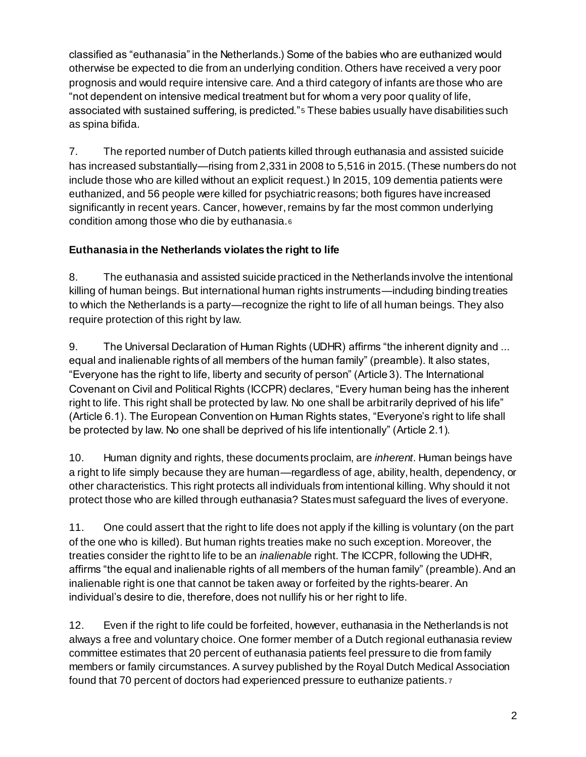classified as "euthanasia" in the Netherlands.) Some of the babies who are euthanized would otherwise be expected to die from an underlying condition. Others have received a very poor prognosis and would require intensive care. And a third category of infants are those who are "not dependent on intensive medical treatment but for whom a very poor quality of life, associated with sustained suffering, is predicted."<sup>5</sup> These babies usually have disabilities such as spina bifida.

7. The reported number of Dutch patients killed through euthanasia and assisted suicide has increased substantially—rising from 2,331 in 2008 to 5,516 in 2015. (These numbers do not include those who are killed without an explicit request.) In 2015, 109 dementia patients were euthanized, and 56 people were killed for psychiatric reasons; both figures have increased significantly in recent years. Cancer, however, remains by far the most common underlying condition among those who die by euthanasia.<sup>6</sup>

#### **Euthanasia in the Netherlands violates the right to life**

8. The euthanasia and assisted suicide practiced in the Netherlands involve the intentional killing of human beings. But international human rights instruments—including binding treaties to which the Netherlands is a party—recognize the right to life of all human beings. They also require protection of this right by law.

9. The Universal Declaration of Human Rights (UDHR) affirms "the inherent dignity and ... equal and inalienable rights of all members of the human family" (preamble). It also states, "Everyone has the right to life, liberty and security of person" (Article 3). The International Covenant on Civil and Political Rights (ICCPR) declares, "Every human being has the inherent right to life. This right shall be protected by law. No one shall be arbitrarily deprived of his life" (Article 6.1). The European Convention on Human Rights states, "Everyone's right to life shall be protected by law. No one shall be deprived of his life intentionally" (Article 2.1).

10. Human dignity and rights, these documents proclaim, are *inherent*. Human beings have a right to life simply because they are human—regardless of age, ability, health, dependency, or other characteristics. This right protects all individuals from intentional killing. Why should it not protect those who are killed through euthanasia? States must safeguard the lives of everyone.

11. One could assert that the right to life does not apply if the killing is voluntary (on the part of the one who is killed). But human rights treaties make no such exception. Moreover, the treaties consider the right to life to be an *inalienable* right. The ICCPR, following the UDHR, affirms "the equal and inalienable rights of all members of the human family" (preamble). And an inalienable right is one that cannot be taken away or forfeited by the rights-bearer. An individual's desire to die, therefore, does not nullify his or her right to life.

12. Even if the right to life could be forfeited, however, euthanasia in the Netherlands is not always a free and voluntary choice. One former member of a Dutch regional euthanasia review committee estimates that 20 percent of euthanasia patients feel pressure to die from family members or family circumstances. A survey published by the Royal Dutch Medical Association found that 70 percent of doctors had experienced pressure to euthanize patients. <sup>7</sup>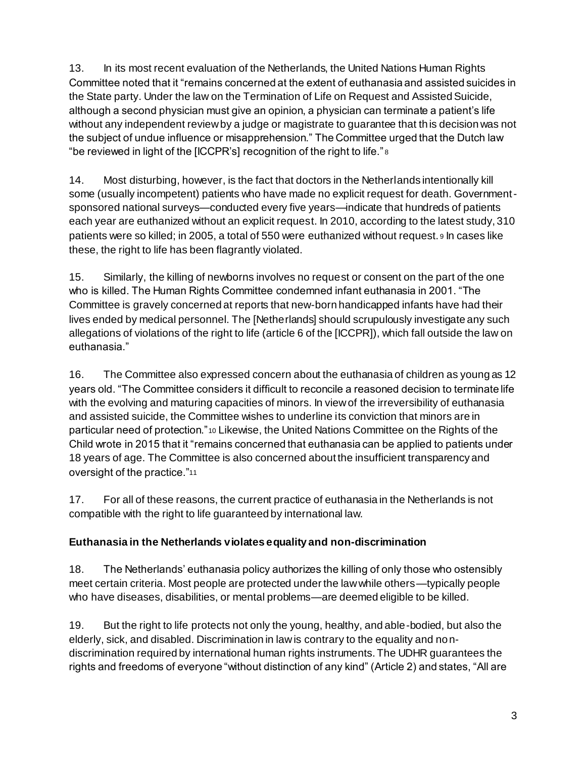13. In its most recent evaluation of the Netherlands, the United Nations Human Rights Committee noted that it "remains concerned at the extent of euthanasia and assisted suicides in the State party. Under the law on the Termination of Life on Request and Assisted Suicide, although a second physician must give an opinion, a physician can terminate a patient's life without any independent review by a judge or magistrate to guarantee that this decision was not the subject of undue influence or misapprehension." The Committee urged that the Dutch law "be reviewed in light of the [ICCPR's] recognition of the right to life." <sup>8</sup>

14. Most disturbing, however, is the fact that doctors in the Netherlands intentionally kill some (usually incompetent) patients who have made no explicit request for death. Governmentsponsored national surveys—conducted every five years—indicate that hundreds of patients each year are euthanized without an explicit request. In 2010, according to the latest study, 310 patients were so killed; in 2005, a total of 550 were euthanized without request. <sup>9</sup> In cases like these, the right to life has been flagrantly violated.

15. Similarly, the killing of newborns involves no request or consent on the part of the one who is killed. The Human Rights Committee condemned infant euthanasia in 2001. "The Committee is gravely concerned at reports that new-born handicapped infants have had their lives ended by medical personnel. The [Netherlands] should scrupulously investigate any such allegations of violations of the right to life (article 6 of the [ICCPR]), which fall outside the law on euthanasia."

16. The Committee also expressed concern about the euthanasia of children as young as 12 years old. "The Committee considers it difficult to reconcile a reasoned decision to terminate life with the evolving and maturing capacities of minors. In view of the irreversibility of euthanasia and assisted suicide, the Committee wishes to underline its conviction that minors are in particular need of protection."<sup>10</sup> Likewise, the United Nations Committee on the Rights of the Child wrote in 2015 that it "remains concerned that euthanasia can be applied to patients under 18 years of age. The Committee is also concerned about the insufficient transparency and oversight of the practice."<sup>11</sup>

17. For all of these reasons, the current practice of euthanasia in the Netherlands is not compatible with the right to life guaranteed by international law.

#### **Euthanasia in the Netherlands violates equality and non-discrimination**

18. The Netherlands' euthanasia policy authorizes the killing of only those who ostensibly meet certain criteria. Most people are protected under the law while others—typically people who have diseases, disabilities, or mental problems—are deemed eligible to be killed.

19. But the right to life protects not only the young, healthy, and able-bodied, but also the elderly, sick, and disabled. Discrimination in law is contrary to the equality and nondiscrimination required by international human rights instruments. The UDHR guarantees the rights and freedoms of everyone "without distinction of any kind" (Article 2) and states, "All are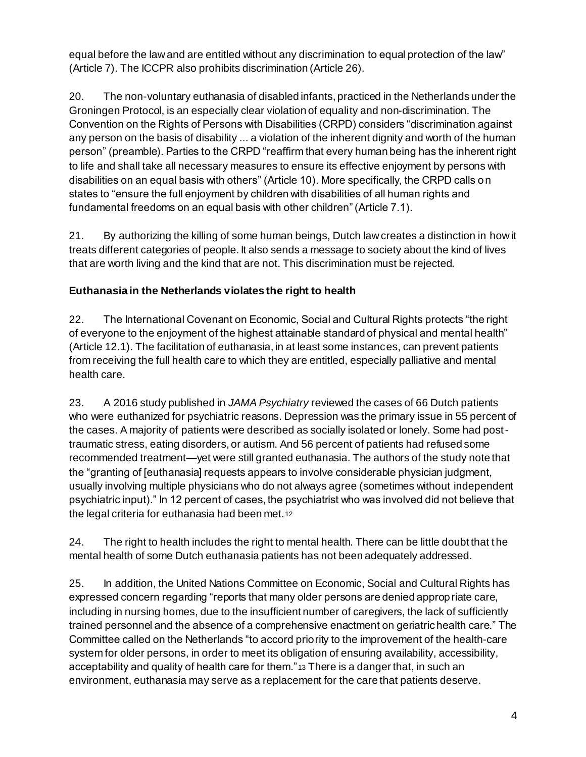equal before the law and are entitled without any discrimination to equal protection of the law" (Article 7). The ICCPR also prohibits discrimination (Article 26).

20. The non-voluntary euthanasia of disabled infants, practiced in the Netherlands under the Groningen Protocol, is an especially clear violation of equality and non-discrimination. The Convention on the Rights of Persons with Disabilities (CRPD) considers "discrimination against any person on the basis of disability ... a violation of the inherent dignity and worth of the human person" (preamble). Parties to the CRPD "reaffirm that every human being has the inherent right to life and shall take all necessary measures to ensure its effective enjoyment by persons with disabilities on an equal basis with others" (Article 10). More specifically, the CRPD calls on states to "ensure the full enjoyment by children with disabilities of all human rights and fundamental freedoms on an equal basis with other children" (Article 7.1).

21. By authorizing the killing of some human beings, Dutch law creates a distinction in how it treats different categories of people. It also sends a message to society about the kind of lives that are worth living and the kind that are not. This discrimination must be rejected.

#### **Euthanasia in the Netherlands violates the right to health**

22. The International Covenant on Economic, Social and Cultural Rights protects "the right of everyone to the enjoyment of the highest attainable standard of physical and mental health" (Article 12.1). The facilitation of euthanasia, in at least some instances, can prevent patients from receiving the full health care to which they are entitled, especially palliative and mental health care.

23. A 2016 study published in *JAMA Psychiatry* reviewed the cases of 66 Dutch patients who were euthanized for psychiatric reasons. Depression was the primary issue in 55 percent of the cases. A majority of patients were described as socially isolated or lonely. Some had posttraumatic stress, eating disorders, or autism. And 56 percent of patients had refused some recommended treatment—yet were still granted euthanasia. The authors of the study note that the "granting of [euthanasia] requests appears to involve considerable physician judgment, usually involving multiple physicians who do not always agree (sometimes without independent psychiatric input)." In 12 percent of cases, the psychiatrist who was involved did not believe that the legal criteria for euthanasia had been met.<sup>12</sup>

24. The right to health includes the right to mental health. There can be little doubt that the mental health of some Dutch euthanasia patients has not been adequately addressed.

25. In addition, the United Nations Committee on Economic, Social and Cultural Rights has expressed concern regarding "reports that many older persons are denied appropriate care, including in nursing homes, due to the insufficient number of caregivers, the lack of sufficiently trained personnel and the absence of a comprehensive enactment on geriatric health care." The Committee called on the Netherlands "to accord priority to the improvement of the health-care system for older persons, in order to meet its obligation of ensuring availability, accessibility, acceptability and quality of health care for them." <sup>13</sup> There is a danger that, in such an environment, euthanasia may serve as a replacement for the care that patients deserve.